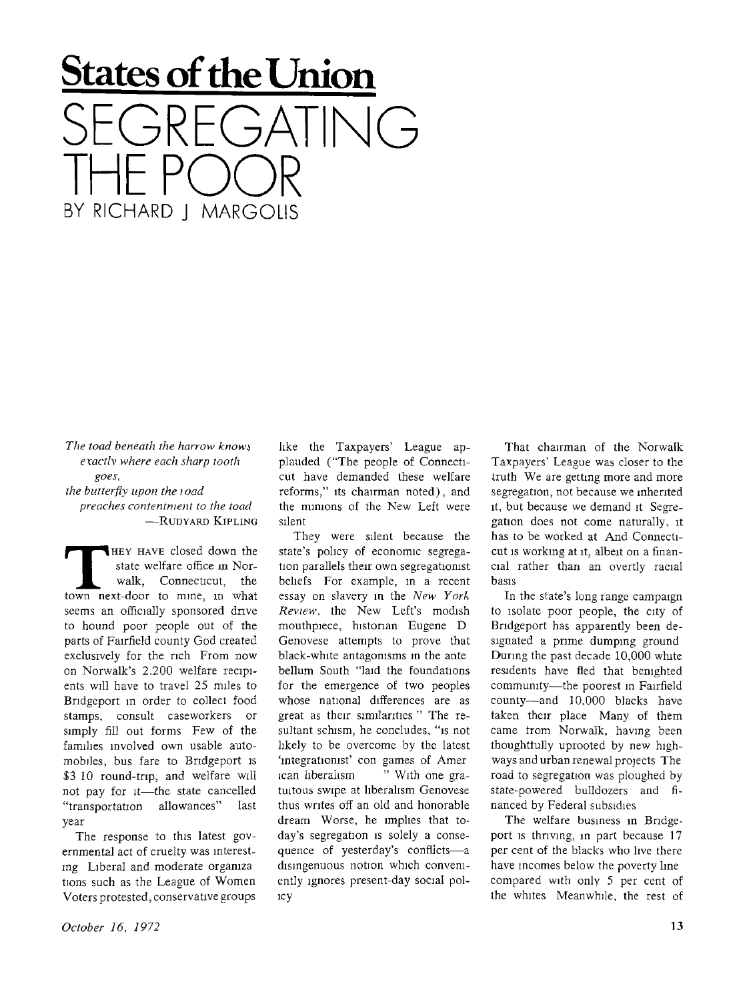## **States of the Union**  SEGREGATING THE POOR BY RICHARD I MARGOLIS

*The toad beneath the harrow knows exactly where each sharp tooth goes, the butterfly upon the toad* 

*preaches contentment to the toad*  **—RUDYARD KIPLING** 

**THEY HAVE closed down the state welfare office in Norwalk, Connecticut, the town next-door to mine, in what HEY HAVE** closed down the state welfare office in Norwalk, Connecticut, the seems an officially sponsored drive to hound poor people out of the parts of Fairfield county God created exclusively for the rich From now on Norwalk's 2,200 welfare recipients will have to travel 25 miles to Bridgeport in order to collect food stamps, consult caseworkers or simply fill out forms Few of the families involved own usable automobiles, bus fare to Bridgeport is \$3.10 round-trip, and welfare will not pay for it—the state cancelled "transportation allowances" last year

The response to this latest governmental act of cruelty was interesting Liberal and moderate orgamza tions such as the League of Women Voters protested, conservative groups

silent They were silent because the state's policy of economic segregation parallels their own segregationist beliefs For example, m a recent essay on slavery in the *New York* 

*Review,* the New Left's modish mouthpiece, historian Eugene D Genovese attempts to prove that black-white antagonisms m the ante bellum South "laid the foundations for the emergence of two peoples whose national differences are as great as their similarities " The resultant schism, he concludes, "is not likely to be overcome by the latest 'mtegrationist' con games of Amer ican liberalism " With one gratuitous swipe at liberalism Genovese thus writes off an old and honorable dream Worse, he implies that today's segregation is solely a consequence of yesterday's conflicts—a disingenuous notion which conveniently ignores present-day social policy

like the Taxpayers' League applauded ("The people of Connecticut have demanded these welfare reforms," its chairman noted), and the minions of the New Left were

That chairman of the Norwalk Taxpayers' League was closer to the truth We are getting more and more segregation, not because we inherited it, but because we demand it Segregation does not come naturally, it has to be worked at And Connecticut is working at it, albeit on a financial rather than an overtly racial basis

In the state's long range campaign to isolate poor people, the city of Bridgeport has apparently been designated a prime dumping ground During the past decade 10,000 white residents have fled that benighted community—the poorest in Fairfield county—and 10,000 blacks have taken their place Many of them came from Norwalk, having been thoughtfully uprooted by new highways and urban renewal projects The road to segregation was ploughed by state-powered bulldozers and financed by Federal subsidies

The welfare business in Bridgeport is thriving, in part because 17 per cent of the blacks who live there have incomes below the poverty line compared with only 5 per cent of the whites Meanwhile, the rest of